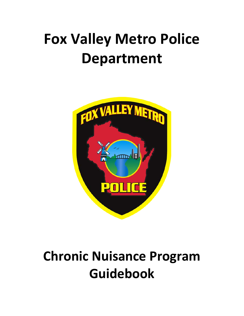# **Fox Valley Metro Police Department**



# **Chronic Nuisance Program Guidebook**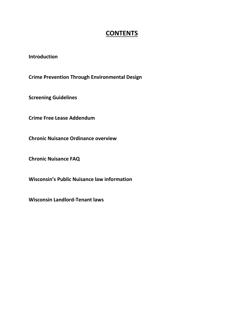## **CONTENTS**

**Introduction**

**Crime Prevention Through Environmental Design**

**Screening Guidelines**

**Crime Free Lease Addendum**

**Chronic Nuisance Ordinance overview**

**Chronic Nuisance FAQ**

**Wisconsin's Public Nuisance law information**

**Wisconsin Landlord-Tenant laws**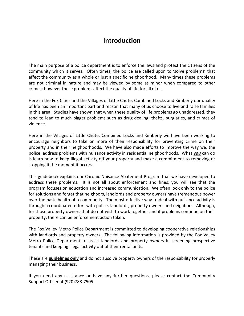# **Introduction**

The main purpose of a police department is to enforce the laws and protect the citizens of the community which it serves. Often times, the police are called upon to 'solve problems' that affect the community as a whole or just a specific neighborhood. Many times these problems are not criminal in nature and may be viewed by some as minor when compared to other crimes; however these problems affect the quality of life for all of us.

Here in the Fox Cities and the Villages of Little Chute, Combined Locks and Kimberly our quality of life has been an important part and reason that many of us choose to live and raise families in this area. Studies have shown that when these quality of life problems go unaddressed, they tend to lead to much bigger problems such as drug dealing, thefts, burglaries, and crimes of violence.

Here in the Villages of Little Chute, Combined Locks and Kimberly we have been working to encourage neighbors to take on more of their responsibility for preventing crime on their property and in their neighborhoods. We have also made efforts to improve the way we, the police, address problems with nuisance activity in residential neighborhoods. What *you* can do is learn how to keep illegal activity off your property and make a commitment to removing or stopping it the moment it occurs.

This guidebook explains our Chronic Nuisance Abatement Program that we have developed to address these problems. It is not all about enforcement and fines; you will see that the program focuses on education and increased communication. We often look only to the police for solutions and forget that neighbors, landlords and property owners have tremendous power over the basic health of a community. The most effective way to deal with nuisance activity is through a coordinated effort with police, landlords, property owners and neighbors. Although, for those property owners that do not wish to work together and if problems continue on their property, there can be enforcement action taken.

The Fox Valley Metro Police Department is committed to developing cooperative relationships with landlords and property owners. The following information is provided by the Fox Valley Metro Police Department to assist landlords and property owners in screening prospective tenants and keeping illegal activity out of their rental units.

These are **guidelines only** and do not absolve property owners of the responsibility for properly managing their business.

If you need any assistance or have any further questions, please contact the Community Support Officer at (920)788-7505.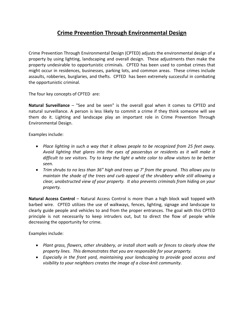## **Crime Prevention Through Environmental Design**

Crime Prevention Through Environmental Design (CPTED) adjusts the environmental design of a property by using lighting, landscaping and overall design. These adjustments then make the property undesirable to opportunistic criminals. CPTED has been used to combat crimes that might occur in residences, businesses, parking lots, and common areas. These crimes include assaults, robberies, burglaries, and thefts. CPTED has been extremely successful in combating the opportunistic criminal.

The four key concepts of CPTED are:

**Natural Surveillance** – "See and be seen" is the overall goal when it comes to CPTED and natural surveillance. A person is less likely to commit a crime if they think someone will see them do it. Lighting and landscape play an important role in Crime Prevention Through Environmental Design.

Examples include:

- *Place lighting in such a way that it allows people to be recognized from 25 feet away. Avoid lighting that glares into the eyes of passersbys or residents as it will make it difficult to see visitors. Try to keep the light a white color to allow visitors to be better seen.*
- *Trim shrubs to no less than 36" high and trees up 7' from the ground. This allows you to maintain the shade of the trees and curb appeal of the shrubbery while still allowing a clear, unobstructed view of your property. It also prevents criminals from hiding on your property.*

**Natural Access Control** – Natural Access Control is more than a high block wall topped with barbed wire. CPTED utilizes the use of walkways, fences, lighting, signage and landscape to clearly guide people and vehicles to and from the proper entrances. The goal with this CPTED principle is not necessarily to keep intruders out, but to direct the flow of people while decreasing the opportunity for crime.

Examples include:

- *Plant grass, flowers, other shrubbery, or install short walls or fences to clearly show the property lines. This demonstrates that you are responsible for your property.*
- *Especially in the front yard, maintaining your landscaping to provide good access and visibility to your neighbors creates the image of a close-knit community*.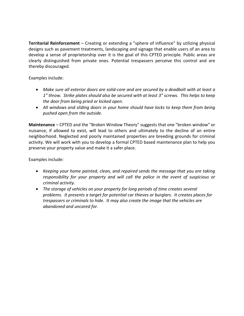**Territorial Reinforcement** – Creating or extending a "sphere of influence" by utilizing physical designs such as pavement treatments, landscaping and signage that enable users of an area to develop a sense of proprietorship over it is the goal of this CPTED principle. Public areas are clearly distinguished from private ones. Potential trespassers perceive this control and are thereby discouraged.

Examples include:

- *Make sure all exterior doors are solid-core and are secured by a deadbolt with at least a 1" throw. Strike plates should also be secured with at least 3" screws. This helps to keep the door from being pried or kicked open.*
- *All windows and sliding doors in your home should have locks to keep them from being pushed open from the outside.*

**Maintenance** – CPTED and the "Broken Window Theory" suggests that one "broken window" or nuisance, if allowed to exist, will lead to others and ultimately to the decline of an entire neighborhood. Neglected and poorly maintained properties are breeding grounds for criminal activity. We will work with you to develop a formal CPTED based maintenance plan to help you preserve your property value and make it a safer place.

Examples include:

- *Keeping your home painted, clean, and repaired sends the message that you are taking responsibility for your property and will call the police in the event of suspicious or criminal activity.*
- *The storage of vehicles on your property for long periods of time creates several problems. It presents a target for potential car thieves or burglars. It creates places for trespassers or criminals to hide. It may also create the image that the vehicles are abandoned and uncared for.*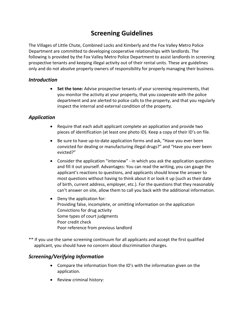# **Screening Guidelines**

The Villages of Little Chute, Combined Locks and Kimberly and the Fox Valley Metro Police Department are committed to developing cooperative relationships with landlords. The following is provided by the Fox Valley Metro Police Department to assist landlords in screening prospective tenants and keeping illegal activity out of their rental units. These are guidelines only and do not absolve property owners of responsibility for properly managing their business.

## *Introduction*

• **Set the tone:** Advise prospective tenants of your screening requirements, that you monitor the activity at your property, that you cooperate with the police department and are alerted to police calls to the property, and that you regularly inspect the internal and external condition of the property.

## *Application*

- Require that each adult applicant complete an application and provide two pieces of identification (at least one photo ID). Keep a copy of their ID's on file.
- Be sure to have up-to-date application forms and ask, "Have you ever been convicted for dealing or manufacturing illegal drugs?" and "Have you ever been evicted?"
- Consider the application "interview" in which you ask the application questions and fill it out yourself. Advantages: You can read the writing, you can gauge the applicant's reactions to questions, and applicants should know the answer to most questions without having to think about it or look it up (such as their date of birth, current address, employer, etc.). For the questions that they reasonably can't answer on site, allow them to call you back with the additional information.
- Deny the application for: Providing false, incomplete, or omitting information on the application Convictions for drug activity Some types of court judgments Poor credit check Poor reference from previous landlord
- \*\* If you use the same screening continuum for all applicants and accept the first qualified applicant, you should have no concern about discrimination charges.

## *Screening/Verifying Information*

- Compare the information from the ID's with the information given on the application.
- Review criminal history: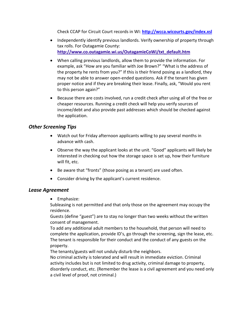Check CCAP for Circuit Court records in WI: **<http://wcca.wicourts.gov/index.xsl>**

- Independently identify previous landlords. Verify ownership of property through tax rolls. For Outagamie County: **http://www.co.outagamie.wi.us/OutagamieCoWi/txt\_default.htm**
- When calling previous landlords, allow them to provide the information. For example, ask "How are you familiar with Joe Brown?" "What is the address of the property he rents from you?" If this is their friend posing as a landlord, they may not be able to answer open-ended questions. Ask if the tenant has given proper notice and if they are breaking their lease. Finally, ask, "Would you rent to this person again?"
- Because there are costs involved, run a credit check after using all of the free or cheaper resources. Running a credit check will help you verify sources of income/debt and also provide past addresses which should be checked against the application.

## *Other Screening Tips*

- Watch out for Friday afternoon applicants willing to pay several months in advance with cash.
- Observe the way the applicant looks at the unit. "Good" applicants will likely be interested in checking out how the storage space is set up, how their furniture will fit, etc.
- Be aware that "fronts" (those posing as a tenant) are used often.
- Consider driving by the applicant's current residence.

## *Lease Agreement*

• Emphasize:

Subleasing is not permitted and that only those on the agreement may occupy the residence.

Guests (define "guest") are to stay no longer than two weeks without the written consent of management.

To add any additional adult members to the household, that person will need to complete the application, provide ID's, go through the screening, sign the lease, etc. The tenant is responsible for their conduct and the conduct of any guests on the property.

The tenants/guests will not unduly disturb the neighbors.

No criminal activity is tolerated and will result in immediate eviction. Criminal activity includes but is not limited to drug activity, criminal damage to property, disorderly conduct, etc. (Remember the lease is a civil agreement and you need only a civil level of proof, not criminal.)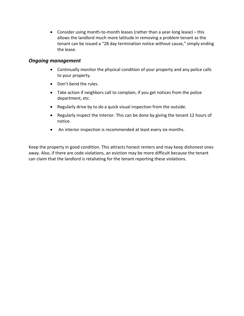• Consider using month-to-month leases (rather than a year-long lease) – this allows the landlord much more latitude in removing a problem tenant as the tenant can be issued a "28 day termination notice without cause," simply ending the lease.

## *Ongoing management*

- Continually monitor the physical condition of your property and any police calls to your property.
- Don't bend the rules.
- Take action if neighbors call to complain, if you get notices from the police department, etc.
- Regularly drive by to do a quick visual inspection from the outside.
- Regularly inspect the interior. This can be done by giving the tenant 12 hours of notice.
- An interior inspection is recommended at least every six months.

Keep the property in good condition. This attracts honest renters and may keep dishonest ones away. Also, if there are code violations, an eviction may be more difficult because the tenant can claim that the landlord is retaliating for the tenant reporting these violations.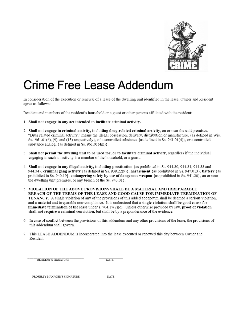

# Crime Free Lease Addendum

In consideration of the execution or renewal of a lease of the dwelling unit identified in the lease, Owner and Resident agree as follows:

Resident and members of the resident's household or a guest or other persons affiliated with the resident:

- 1. Shall not engage in any act intended to facilitate criminal activity.
- 2. Shall not engage in criminal activity, including drug-related criminal activity, on or near the said premises. "Drug related criminal activity," means the illegal possession, delivery, distribution or manufacture, {as defined in Wis. Ss.  $961.01(6)$ , (9), and (13) respectively}, of a controlled substance {as defined in Ss.  $961.01(4)$ }, or a controlled substance analog, {as defined in Ss. 961.01(4m)}.
- 3. Shall not permit the dwelling unit to be used for, or to facilitate criminal activity, regardless if the individual engaging in such an activity is a member of the household, or a guest.
- 4. Shall not engage in any illegal activity, including prostitution {as prohibited in Ss. 944.30, 944.31, 944.33 and 944.34}, criminal gang activity {as defined in Ss. 939.22(9)}, harassment {as prohibited in Ss. 947.013}, battery {as prohibited in Ss. 940.19}, endangering safety by use of dangerous weapon {as prohibited in Ss. 941.20}, on or near the dwelling unit premises, or any breach of the Ss. 943.01}.
- 5. VIOLATION OF THE ABOVE PROVISIONS SHALL BE A MATERIAL AND IRREPARABLE BREACH OF THE TERMS OF THE LEASE AND GOOD CAUSE FOR IMMEDIATE TERMINATION OF **TENANCY.** A single violation of any of the provisions of this added addendum shall be deemed a serious violation, and a material and irreparable non-compliance. It is understood that a single violation shall be good cause for immediate termination of the lease under s.  $704.17(2)(c)$ . Unless otherwise provided by law, proof of violation shall not require a criminal conviction, but shall be by a preponderance of the evidence.
- 6. In case of conflict between the provisions of this addendum and any other provisions of the lease, the provisions of this addendum shall govern.
- 7. This LEASE ADDENDUM is incorporated into the lease executed or renewed this day between Owner and Resident.

RESIDENT'S SIGNATURE

DATE

PROPERTY MANAGER'S SIGNATURE

 $\overline{DATF}$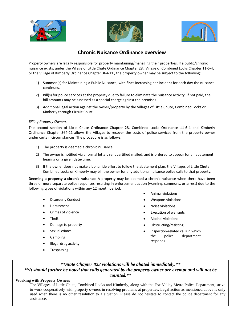





## **Chronic Nuisance Ordinance overview**

Property owners are legally responsible for properly maintaining/managing their properties. If a public/chronic nuisance exists, under the Village of Little Chute Ordinance Chapter 28, Village of Combined Locks Chapter 11-6-4, or the Village of Kimberly Ordinance Chapter 364-11 , the property owner may be subject to the following:

- 1) Summon(s) for Maintaining a Public Nuisance, with fines increasing per incident for each day the nuisance continues.
- 2) Bill(s) for police services at the property due to failure to eliminate the nuisance activity. If not paid, the bill amounts may be assessed as a special charge against the premises.
- 3) Additional legal action against the owner/property by the Villages of Little Chute, Combined Locks or Kimberly through Circuit Court.

#### *Billing Property Owners*

The second section of Little Chute Ordinance Chapter 28, Combined Locks Ordinance 11-6-4 and Kimberly Ordinance Chapter 364-11 allows the Villages to recover the costs of police services from the property owner under certain circumstances. The procedure is as follows:

- 1) The property is deemed a chronic nuisance.
- 2) The owner is notified via a formal letter, sent certified mailed, and is ordered to appear for an abatement hearing on a given date/time.
- 3) If the owner does not make a bona fide effort to follow the abatement plan, the Villages of Little Chute, Combined Locks or Kimberly may bill the owner for any additional nuisance police calls to that property.

**Deeming a property a chronic nuisance:** A property may be deemed a chronic nuisance when there have been three or more separate police responses resulting in enforcement action (warning, summons, or arrest) due to the following types of violations within any 12 month period:

- Disorderly Conduct
- Harassment
- Crimes of violence
- Theft
- Damage to property
- Sexual crimes
- Gambling
- Illegal drug activity
- Trespassing
- Animal violations
- Weapons violations
- Noise violations
- **Execution of warrants**
- Alcohol violations
- Obstructing/resisting
- Inspection-related calls in which the police department responds

### *\*\*State Chapter 823 violations will be abated immediately.\*\* \*\*It should further be noted that calls generated by the property owner are exempt and will not be counted.\*\**

#### **Working with Property Owners**

The Villages of Little Chute, Combined Locks and Kimberly, along with the Fox Valley Metro Police Department, strive to work cooperatively with property owners in resolving problems at properties. Legal action as mentioned above is only used when there is no other resolution to a situation. Please do not hesitate to contact the police department for any assistance.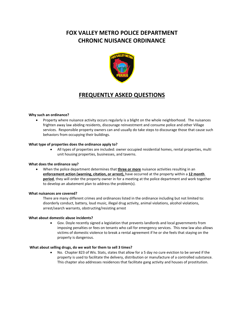# **FOX VALLEY METRO POLICE DEPARTMENT CHRONIC NUISANCE ORDINANCE**



## **FREQUENTLY ASKED QUESTIONS**

#### **Why such an ordinance?**

• Property where nuisance activity occurs regularly is a blight on the whole neighborhood. The nuisances frighten away law abiding residents, discourage reinvestment and consume police and other Village services. Responsible property owners can and usually do take steps to discourage those that cause such behaviors from occupying their buildings.

#### **What type of properties does the ordinance apply to?**

• All types of properties are included: owner occupied residential homes, rental properties, multi unit housing properties, businesses, and taverns.

#### **What does the ordinance say?**

• When the police department determines that **three or more** nuisance activities resulting in an **enforcement action (warning, citation, or arrest),** have occurred at the property within a **12 month period**, they will order the property owner in for a meeting at the police department and work together to develop an abatement plan to address the problem(s).

#### **What nuisances are covered?**

There are many different crimes and ordinances listed in the ordinance including but not limited to: disorderly conduct, battery, loud music, illegal drug activity, animal violations, alcohol violations, arrest/search warrants, obstructing/resisting arrest

#### **What about domestic abuse incidents?**

• Gov. Doyle recently signed a legislation that prevents landlords and local governments from imposing penalties or fees on tenants who call for emergency services. This new law also allows victims of domestic violence to break a rental agreement if he or she feels that staying on the property is dangerous.

#### **What about selling drugs, do we wait for them to sell 3 times?**

• No. Chapter 823 of Wis. Stats, states that allow for a 5 day no cure eviction to be served if the property is used to facilitate the delivery, distribution or manufacture of a controlled substance. This chapter also addresses residences that facilitate gang activity and houses of prostitution.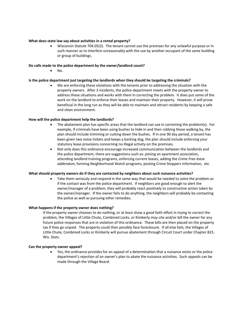#### **What does state law say about activities in a rental property?**

• Wisconsin Statute 704.05(3). The tenant cannot use the premises for any unlawful purpose or in such manner as to interfere unreasonably with the use by another occupant of the same building or group of buildings.

#### **Do calls made to the police department by the owner/landlord count?**

• No.

#### **Is the police department just targeting the landlords when they should be targeting the criminals?**

• We are enforcing these violations with the tenants prior to addressing the situation with the property owners. After 3 incidents, the police department meets with the property owner to address these situations and works with them in correcting the problem. It does put some of the work on the landlord to enforce their leases and maintain their property. However, it will prove beneficial in the long run as they will be able to maintain and attract residents by keeping a safe and clean environment.

#### **How will the police department help the landlords?**

- The abatement plan has specific areas that the landlord can use in correcting the problem(s). For example, if criminals have been using bushes to hide in and then robbing those walking by, the plan should include trimming or cutting down the bushes. If in one 90 day period, a tenant has been given two noise tickets and keeps a barking dog, the plan should include enforcing your statutory lease provisions concerning no illegal activity on the premises.
- Not only does this ordinance encourage increased communication between the landlords and the police department, there are suggestions such as: joining an apartment association, attending landlord training programs, enforcing current leases, adding the *Crime Free lease addendum*, forming Neighborhood Watch programs, posting Crime Stoppers information, etc.

#### **What should property owners do if they are contacted by neighbors about such nuisance activities?**

Take them seriously and respond in the same way that would be needed to solve the problem as if the contact was from the police department. If neighbors are good enough to alert the owner/manager of a problem, they will probably react positively to constructive action taken by the owner/manager. If the owner fails to do anything, the neighbors will probably be contacting the police as well as pursuing other remedies.

#### **What happens if the property owner does nothing?**

If the property owner chooses to do nothing, or at least show a good faith effort in trying to correct the problem, the Villages of Little Chute, Combined Locks, or Kimberly may cite and/or bill the owner for any future police responses that are in violation of this ordinance. These bills are then placed on the property tax if they go unpaid. The property could then possibly face foreclosure. If all else fails, the Villages of Little Chute, Combined Locks or Kimberly will pursue abatement through Circuit Court under Chapter 823, Wis. Stats.

#### **Can the property owner appeal?**

• Yes, the ordinance provides for an appeal of a determination that a nuisance exists or the police department's rejection of an owner's plan to abate the nuisance activities. Such appeals can be made through the Village Board.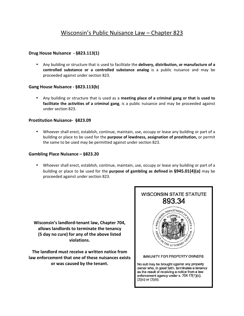#### **Drug House Nuisance - §823.113(1)**

• Any building or structure that is used to facilitate the **delivery, distribution, or manufacture of a controlled substance or a controlled substance analog** is a public nuisance and may be proceeded against under section 823.

#### **Gang House Nuisance - §823.113(b)**

• Any building or structure that is used as a **meeting place of a criminal gang or that is used to facilitate the activities of a criminal gang**, is a public nuisance and may be proceeded against under section 823.

#### **Prostitution Nuisance- §823.09**

• Whoever shall erect, establish, continue, maintain, use, occupy or lease any building or part of a building or place to be used for the **purpose of lewdness, assignation of prostitution,** or permit the same to be used may be permitted against under section 823.

#### **Gambling Place Nuisance – §823.20**

• Whoever shall erect, establish, continue, maintain, use, occupy or lease any building or part of a building or place to be used for the **purpose of gambling as defined in §945.01(4)(a)** may be proceeded against under section 823.

**Wisconsin's landlord-tenant law, Chapter 704, allows landlords to terminate the tenancy (5 day no cure) for any of the above listed violations.**

**The landlord must receive a written notice from law enforcement that one of these nuisances exists or was caused by the tenant.**

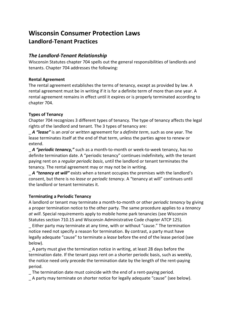# **Wisconsin Consumer Protection Laws Landlord-Tenant Practices**

## *The Landlord-Tenant Relationship*

Wisconsin Statutes chapter 704 spells out the general responsibilities of landlords and tenants. Chapter 704 addresses the following:

## **Rental Agreement**

The rental agreement establishes the terms of tenancy, except as provided by law. A rental agreement must be in writing if it is for a definite term of more than one year. A rental agreement remains in effect until it expires or is properly terminated according to chapter 704.

## **Types of Tenancy**

Chapter 704 recognizes 3 different types of tenancy. The type of tenancy affects the legal rights of the landlord and tenant. The 3 types of tenancy are:

\_ *A "lease"* is an *oral* or *written* agreement for a *definite term*, such as one year. The lease terminates itself at the end of that term, unless the parties agree to renew or extend.

A "*periodic tenancy*," such as a month-to-month or week-to-week tenancy, has no definite termination date. A "periodic tenancy" continues indefinitely, with the tenant paying rent on a *regular periodic basis*, until the landlord or tenant terminates the tenancy. The rental agreement may or may not be in writing.

A "tenancy at will" exists when a tenant occupies the premises with the landlord's consent, but there is no *lease* or *periodic tenancy*. A "tenancy at will" continues until the landlord or tenant terminates it.

## **Terminating a Periodic Tenancy**

A landlord or tenant may terminate a month-to-month or other *periodic tenancy* by giving a proper termination notice to the other party. The same procedure applies to a *tenancy at will*. Special requirements apply to mobile home park tenancies (see Wisconsin Statutes section 710.15 and Wisconsin Administrative Code chapter ATCP 125).

\_ Either party may terminate at any time, with or without "cause." The termination notice need not specify a reason for termination. By contrast, a party must have legally adequate "cause" to terminate a *lease* before the end of the lease period (see below).

\_ A party must give the termination notice in writing, at least 28 days before the termination date. If the tenant pays rent on a shorter periodic basis, such as weekly, the notice need only precede the termination date by the length of the rent-paying period.

The termination date must coincide with the end of a rent-paying period.

\_ A party may terminate on shorter notice for legally adequate "cause" (see below).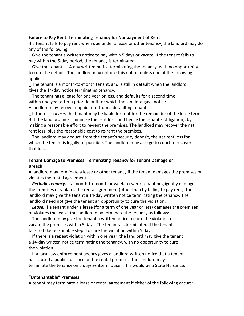#### **Failure to Pay Rent: Terminating Tenancy for Nonpayment of Rent**

If a tenant fails to pay rent when due under a lease or other tenancy, the landlord may do any of the following:

\_ Give the tenant a written notice to pay within 5 days or vacate. If the tenant fails to pay within the 5-day period, the tenancy is terminated.

\_ Give the tenant a 14-day written notice terminating the tenancy, with no opportunity to cure the default. The landlord may not use this option unless one of the following applies:

\_ The tenant is a month-to-month tenant, and is still in default when the landlord gives the 14-day notice terminating tenancy.

\_ The tenant has a lease for one year or less, and defaults for a second time within one year after a prior default for which the landlord gave notice. A landlord may recover unpaid rent from a defaulting tenant:

\_ If there is a *lease*, the tenant may be liable for rent for the remainder of the lease term. But the landlord must minimize the rent loss (and hence the tenant's obligation), by making a reasonable effort to re-rent the premises. The landlord may recover the net rent loss, plus the reasonable cost to re-rent the premises.

\_ The landlord may deduct, from the tenant's security deposit, the net rent loss for which the tenant is legally responsible. The landlord may also go to court to recover that loss.

### **Tenant Damage to Premises: Terminating Tenancy for Tenant Damage or Breach**

A landlord may terminate a lease or other tenancy if the tenant damages the premises or violates the rental agreement:

\_ *Periodic tenancy***.** If a month-to-month or week-to-week tenant negligently damages the premises or violates the rental agreement (other than by failing to pay rent), the landlord may give the tenant a 14-day written notice terminating the tenancy. The landlord need not give the tenant an opportunity to cure the violation.

**Lease.** If a tenant under a lease (for a term of one year or less) damages the premises or violates the lease, the landlord may terminate the tenancy as follows:

\_ The landlord may give the tenant a written notice to cure the violation or vacate the premises within 5 days. The tenancy is terminated if the tenant fails to take reasonable steps to cure the violation within 5 days.

\_ If there is a repeat violation within one year, the landlord may give the tenant a 14-day written notice terminating the tenancy, with no opportunity to cure the violation.

\_ If a local law enforcement agency gives a landlord written notice that a tenant has caused a public nuisance on the rental premises, the landlord may terminate the tenancy on 5 days written notice. This would be a State Nuisance.

#### **"Untenantable" Premises**

A tenant may terminate a lease or rental agreement if either of the following occurs: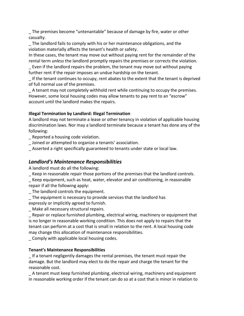\_ The premises become "untenantable" because of damage by fire, water or other casualty.

\_ The landlord fails to comply with his or her maintenance obligations, and the violation materially affects the tenant's health or safety.

In these cases, the tenant may move out without paying rent for the remainder of the rental term *unless* the landlord promptly repairs the premises or corrects the violation.

\_ Even if the landlord repairs the problem, the tenant may move out without paying further rent if the repair imposes an undue hardship on the tenant.

\_ If the tenant continues to occupy, rent abates to the extent that the tenant is deprived of full normal use of the premises.

\_ A tenant may not completely withhold rent while continuing to occupy the premises. However, some local housing codes may allow tenants to pay rent to an "escrow" account until the landlord makes the repairs.

## **Illegal Termination by Landlord: Illegal Termination**

A landlord may not terminate a lease or other tenancy in violation of applicable housing discrimination laws. Nor may a landlord terminate because a tenant has done any of the following:

\_ Reported a housing code violation.

\_ Joined or attempted to organize a tenants' association.

\_ Asserted a right specifically guaranteed to tenants under state or local law.

## *Landlord's Maintenance Responsibilities*

A landlord must do all the following:

\_ Keep in reasonable repair those portions of the premises that the landlord controls.

Keep equipment, such as heat, water, elevator and air conditioning, in reasonable repair if all the following apply:

- \_ The landlord controls the equipment.
- \_ The equipment is necessary to provide services that the landlord has

expressly or implicitly agreed to furnish.

\_ Make all necessary structural repairs.

\_ Repair or replace furnished plumbing, electrical wiring, machinery or equipment that is no longer in reasonable working condition. This does not apply to repairs that the tenant can perform at a cost that is small in relation to the rent. A local housing code may change this allocation of maintenance responsibilities.

\_ Comply with applicable local housing codes.

## **Tenant's Maintenance Responsibilities**

\_ If a tenant negligently damages the rental premises, the tenant must repair the damage. But the landlord may elect to do the repair and charge the tenant for the reasonable cost.

\_ A tenant must keep furnished plumbing, electrical wiring, machinery and equipment in reasonable working order if the tenant can do so at a cost that is minor in relation to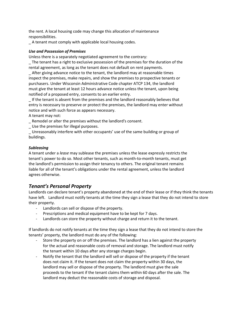the rent. A local housing code may change this allocation of maintenance responsibilities.

\_ A tenant must comply with applicable local housing codes.

#### *Use and Possession of Premises*

Unless there is a separately negotiated agreement to the contrary:

\_ The tenant has a right to exclusive possession of the premises for the duration of the rental agreement, as long as the tenant does not default on rent payments.

\_ After giving advance notice to the tenant, the landlord may at reasonable times inspect the premises, make repairs, and show the premises to prospective tenants or purchasers. Under Wisconsin Administrative Code chapter ATCP 134, the landlord must give the tenant at least 12 hours advance notice unless the tenant, upon being notified of a proposed entry, consents to an earlier entry.

\_ If the tenant is absent from the premises and the landlord reasonably believes that entry is necessary to preserve or protect the premises, the landlord may enter without notice and with such force as appears necessary.

A tenant may not:

\_ Remodel or alter the premises without the landlord's consent.

\_ Use the premises for illegal purposes.

\_ Unreasonably interfere with other occupants' use of the same building or group of buildings.

#### *Subleasing*

A tenant under a *lease* may sublease the premises unless the lease expressly restricts the tenant's power to do so. Most other tenants, such as month-to-month tenants, must get the landlord's permission to assign their tenancy to others. The original tenant remains liable for all of the tenant's obligations under the rental agreement, unless the landlord agrees otherwise.

## *Tenant's Personal Property*

Landlords can declare tenant's property abandoned at the end of their lease or if they think the tenants have left. Landlord must notify tenants at the time they sign a lease that they do not intend to store their property.

- Landlords can sell or dispose of the property.
- Prescriptions and medical equipment have to be kept for 7 days.
- Landlords can store the property without charge and return it to the tenant.

If landlords do not notify tenants at the time they sign a lease that they do not intend to store the tenants' property, the landlord must do any of the following:

- Store the property on or off the premises. The landlord has a lien against the property for the actual and reasonable costs of removal and storage. The landlord must notify the tenant within 10 days after any storage charges begin.
- Notify the tenant that the landlord will sell or dispose of the property if the tenant does not claim it. If the tenant does not claim the property within 30 days, the landlord may sell or dispose of the property. The landlord must give the sale proceeds to the tenant if the tenant claims them within 60 days after the sale. The landlord may deduct the reasonable costs of storage and disposal.